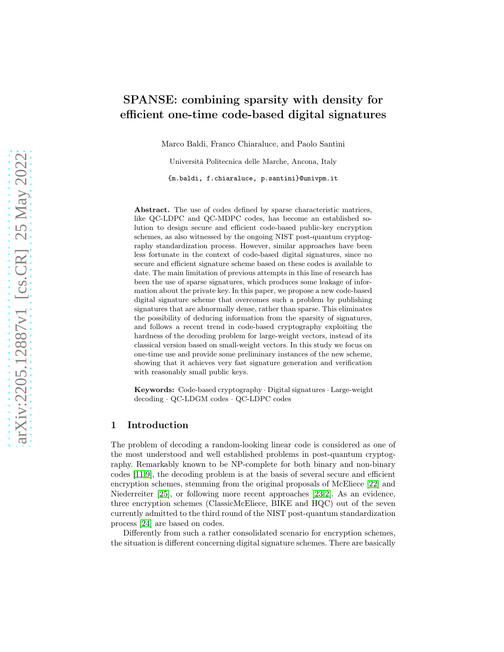# SPANSE: combining sparsity with density for efficient one-time code-based digital signatures

Marco Baldi, Franco Chiaraluce, and Paolo Santini

Università Politecnica delle Marche, Ancona, Italy

{m.baldi, f.chiaraluce, p.santini}@univpm.it

Abstract. The use of codes defined by sparse characteristic matrices, like QC-LDPC and QC-MDPC codes, has become an established solution to design secure and efficient code-based public-key encryption schemes, as also witnessed by the ongoing NIST post-quantum cryptography standardization process. However, similar approaches have been less fortunate in the context of code-based digital signatures, since no secure and efficient signature scheme based on these codes is available to date. The main limitation of previous attempts in this line of research has been the use of sparse signatures, which produces some leakage of information about the private key. In this paper, we propose a new code-based digital signature scheme that overcomes such a problem by publishing signatures that are abnormally dense, rather than sparse. This eliminates the possibility of deducing information from the sparsity of signatures, and follows a recent trend in code-based cryptography exploiting the hardness of the decoding problem for large-weight vectors, instead of its classical version based on small-weight vectors. In this study we focus on one-time use and provide some preliminary instances of the new scheme, showing that it achieves very fast signature generation and verification with reasonably small public keys.

Keywords: Code-based cryptography · Digital signatures · Large-weight decoding · QC-LDGM codes · QC-LDPC codes

# 1 Introduction

The problem of decoding a random-looking linear code is considered as one of the most understood and well established problems in post-quantum cryptography. Remarkably known to be NP-complete for both binary and non-binary codes [\[11](#page-17-0)[,9\]](#page-16-0), the decoding problem is at the basis of several secure and efficient encryption schemes, stemming from the original proposals of McEliece [\[22\]](#page-17-1) and Niederreiter [\[25\]](#page-17-2), or following more recent approaches [\[23](#page-17-3)[,2\]](#page-16-1). As an evidence, three encryption schemes (ClassicMcEliece, BIKE and HQC) out of the seven currently admitted to the third round of the NIST post-quantum standardization process [\[24\]](#page-17-4) are based on codes.

Differently from such a rather consolidated scenario for encryption schemes, the situation is different concerning digital signature schemes. There are basically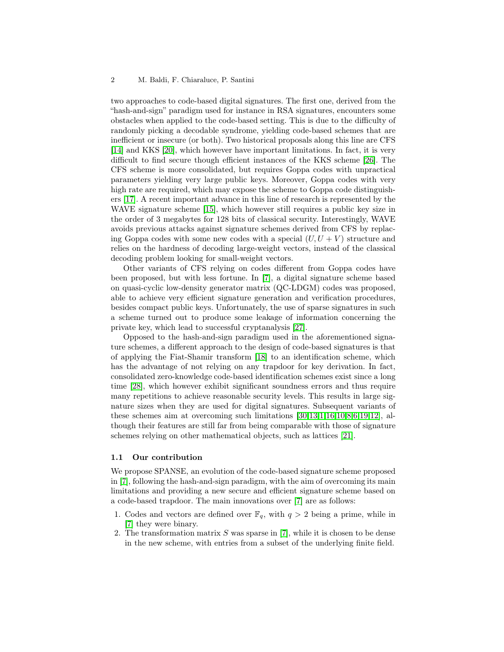two approaches to code-based digital signatures. The first one, derived from the "hash-and-sign" paradigm used for instance in RSA signatures, encounters some obstacles when applied to the code-based setting. This is due to the difficulty of randomly picking a decodable syndrome, yielding code-based schemes that are inefficient or insecure (or both). Two historical proposals along this line are CFS [\[14\]](#page-17-5) and KKS [\[20\]](#page-17-6), which however have important limitations. In fact, it is very difficult to find secure though efficient instances of the KKS scheme [\[26\]](#page-17-7). The CFS scheme is more consolidated, but requires Goppa codes with unpractical parameters yielding very large public keys. Moreover, Goppa codes with very high rate are required, which may expose the scheme to Goppa code distinguishers [\[17\]](#page-17-8). A recent important advance in this line of research is represented by the WAVE signature scheme [\[15\]](#page-17-9), which however still requires a public key size in the order of 3 megabytes for 128 bits of classical security. Interestingly, WAVE avoids previous attacks against signature schemes derived from CFS by replacing Goppa codes with some new codes with a special  $(U, U + V)$  structure and relies on the hardness of decoding large-weight vectors, instead of the classical decoding problem looking for small-weight vectors.

Other variants of CFS relying on codes different from Goppa codes have been proposed, but with less fortune. In [\[7\]](#page-16-2), a digital signature scheme based on quasi-cyclic low-density generator matrix (QC-LDGM) codes was proposed, able to achieve very efficient signature generation and verification procedures, besides compact public keys. Unfortunately, the use of sparse signatures in such a scheme turned out to produce some leakage of information concerning the private key, which lead to successful cryptanalysis [\[27\]](#page-17-10).

Opposed to the hash-and-sign paradigm used in the aforementioned signature schemes, a different approach to the design of code-based signatures is that of applying the Fiat-Shamir transform [\[18\]](#page-17-11) to an identification scheme, which has the advantage of not relying on any trapdoor for key derivation. In fact, consolidated zero-knowledge code-based identification schemes exist since a long time [\[28\]](#page-18-0), which however exhibit significant soundness errors and thus require many repetitions to achieve reasonable security levels. This results in large signature sizes when they are used for digital signatures. Subsequent variants of these schemes aim at overcoming such limitations [\[30,](#page-18-1)[13](#page-17-12)[,1](#page-16-3)[,16](#page-17-13)[,10,](#page-16-4)[8,](#page-16-5)[6](#page-16-6)[,19](#page-17-14)[,12\]](#page-17-15), although their features are still far from being comparable with those of signature schemes relying on other mathematical objects, such as lattices [\[21\]](#page-17-16).

### 1.1 Our contribution

We propose SPANSE, an evolution of the code-based signature scheme proposed in [\[7\]](#page-16-2), following the hash-and-sign paradigm, with the aim of overcoming its main limitations and providing a new secure and efficient signature scheme based on a code-based trapdoor. The main innovations over [\[7\]](#page-16-2) are as follows:

- 1. Codes and vectors are defined over  $\mathbb{F}_q$ , with  $q > 2$  being a prime, while in [\[7\]](#page-16-2) they were binary.
- 2. The transformation matrix  $S$  was sparse in [\[7\]](#page-16-2), while it is chosen to be dense in the new scheme, with entries from a subset of the underlying finite field.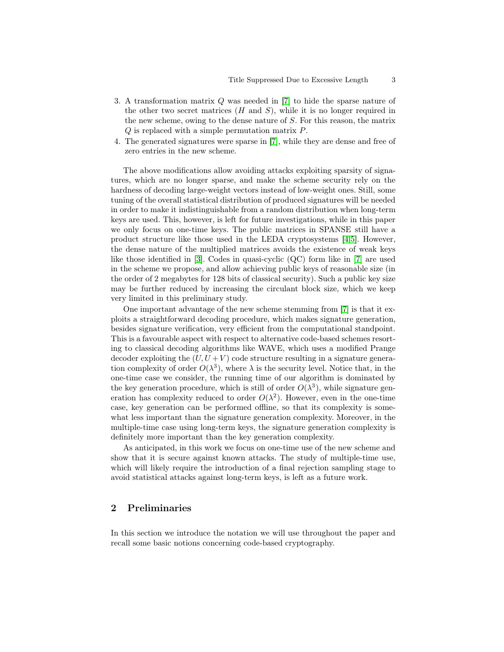- 3. A transformation matrix Q was needed in [\[7\]](#page-16-2) to hide the sparse nature of the other two secret matrices  $(H \text{ and } S)$ , while it is no longer required in the new scheme, owing to the dense nature of S. For this reason, the matrix Q is replaced with a simple permutation matrix P.
- 4. The generated signatures were sparse in [\[7\]](#page-16-2), while they are dense and free of zero entries in the new scheme.

The above modifications allow avoiding attacks exploiting sparsity of signatures, which are no longer sparse, and make the scheme security rely on the hardness of decoding large-weight vectors instead of low-weight ones. Still, some tuning of the overall statistical distribution of produced signatures will be needed in order to make it indistinguishable from a random distribution when long-term keys are used. This, however, is left for future investigations, while in this paper we only focus on one-time keys. The public matrices in SPANSE still have a product structure like those used in the LEDA cryptosystems [\[4](#page-16-7)[,5\]](#page-16-8). However, the dense nature of the multiplied matrices avoids the existence of weak keys like those identified in [\[3\]](#page-16-9). Codes in quasi-cyclic (QC) form like in [\[7\]](#page-16-2) are used in the scheme we propose, and allow achieving public keys of reasonable size (in the order of 2 megabytes for 128 bits of classical security). Such a public key size may be further reduced by increasing the circulant block size, which we keep very limited in this preliminary study.

One important advantage of the new scheme stemming from [\[7\]](#page-16-2) is that it exploits a straightforward decoding procedure, which makes signature generation, besides signature verification, very efficient from the computational standpoint. This is a favourable aspect with respect to alternative code-based schemes resorting to classical decoding algorithms like WAVE, which uses a modified Prange decoder exploiting the  $(U, U + V)$  code structure resulting in a signature generation complexity of order  $O(\lambda^3)$ , where  $\lambda$  is the security level. Notice that, in the one-time case we consider, the running time of our algorithm is dominated by the key generation procedure, which is still of order  $O(\lambda^3)$ , while signature generation has complexity reduced to order  $O(\lambda^2)$ . However, even in the one-time case, key generation can be performed offline, so that its complexity is somewhat less important than the signature generation complexity. Moreover, in the multiple-time case using long-term keys, the signature generation complexity is definitely more important than the key generation complexity.

As anticipated, in this work we focus on one-time use of the new scheme and show that it is secure against known attacks. The study of multiple-time use, which will likely require the introduction of a final rejection sampling stage to avoid statistical attacks against long-term keys, is left as a future work.

# 2 Preliminaries

In this section we introduce the notation we will use throughout the paper and recall some basic notions concerning code-based cryptography.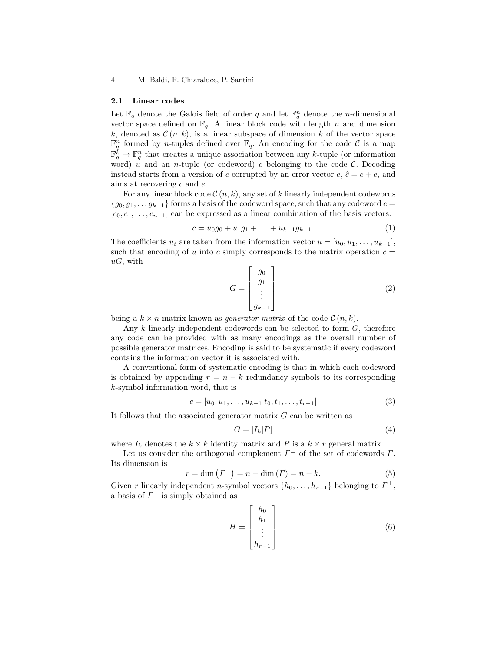#### 2.1 Linear codes

Let  $\mathbb{F}_q$  denote the Galois field of order q and let  $\mathbb{F}_q^n$  denote the n-dimensional vector space defined on  $\mathbb{F}_q$ . A linear block code with length n and dimension k, denoted as  $\mathcal{C}(n,k)$ , is a linear subspace of dimension k of the vector space  $\mathbb{F}_q^n$  formed by *n*-tuples defined over  $\mathbb{F}_q$ . An encoding for the code C is a map  $\mathbb{F}_q^k \mapsto \mathbb{F}_q^n$  that creates a unique association between any k-tuple (or information word) u and an *n*-tuple (or codeword) c belonging to the code  $\mathcal{C}$ . Decoding instead starts from a version of c corrupted by an error vector  $e, \hat{c} = c + e$ , and aims at recovering  $c$  and  $e$ .

For any linear block code  $\mathcal{C}(n, k)$ , any set of k linearly independent codewords  ${g_0, g_1, \ldots g_{k-1}}$  forms a basis of the codeword space, such that any codeword  $c =$  $[c_0, c_1, \ldots, c_{n-1}]$  can be expressed as a linear combination of the basis vectors:

$$
c = u_0 g_0 + u_1 g_1 + \ldots + u_{k-1} g_{k-1}.
$$
\n<sup>(1)</sup>

The coefficients  $u_i$  are taken from the information vector  $u = [u_0, u_1, \ldots, u_{k-1}],$ such that encoding of u into c simply corresponds to the matrix operation  $c =$  $uG$ , with

$$
G = \begin{bmatrix} g_0 \\ g_1 \\ \vdots \\ g_{k-1} \end{bmatrix}
$$
 (2)

being a  $k \times n$  matrix known as *generator matrix* of the code  $\mathcal{C}(n, k)$ .

Any k linearly independent codewords can be selected to form G, therefore any code can be provided with as many encodings as the overall number of possible generator matrices. Encoding is said to be systematic if every codeword contains the information vector it is associated with.

A conventional form of systematic encoding is that in which each codeword is obtained by appending  $r = n - k$  redundancy symbols to its corresponding k-symbol information word, that is

$$
c = [u_0, u_1, \dots, u_{k-1} | t_0, t_1, \dots, t_{r-1}]
$$
\n(3)

It follows that the associated generator matrix  $G$  can be written as

$$
G = [I_k | P] \tag{4}
$$

where  $I_k$  denotes the  $k \times k$  identity matrix and P is a  $k \times r$  general matrix.

Let us consider the orthogonal complement  $\Gamma^{\perp}$  of the set of codewords  $\Gamma$ . Its dimension is

$$
r = \dim\left(\Gamma^{\perp}\right) = n - \dim\left(\Gamma\right) = n - k. \tag{5}
$$

Given r linearly independent n-symbol vectors  $\{h_0, \ldots, h_{r-1}\}$  belonging to  $\Gamma^{\perp}$ , a basis of  $\Gamma^{\perp}$  is simply obtained as

$$
H = \begin{bmatrix} h_0 \\ h_1 \\ \vdots \\ h_{r-1} \end{bmatrix} \tag{6}
$$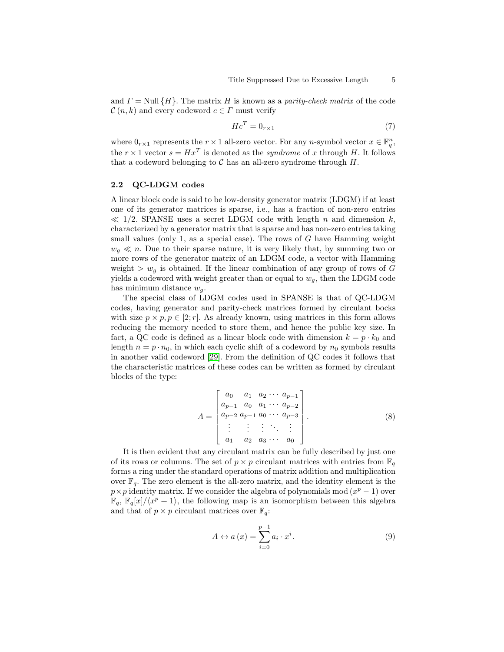and  $\Gamma =$  Null  $\{H\}$ . The matrix H is known as a parity-check matrix of the code  $\mathcal{C}(n,k)$  and every codeword  $c \in \Gamma$  must verify

$$
Hc^T = 0_{r \times 1} \tag{7}
$$

where  $0_{r\times 1}$  represents the  $r \times 1$  all-zero vector. For any n-symbol vector  $x \in \mathbb{F}_q^n$ , the  $r \times 1$  vector  $s = Hx^T$  is denoted as the *syndrome* of x through H. It follows that a codeword belonging to  $\mathcal C$  has an all-zero syndrome through  $H$ .

# 2.2 QC-LDGM codes

A linear block code is said to be low-density generator matrix (LDGM) if at least one of its generator matrices is sparse, i.e., has a fraction of non-zero entries  $\ll 1/2$ . SPANSE uses a secret LDGM code with length n and dimension k, characterized by a generator matrix that is sparse and has non-zero entries taking small values (only 1, as a special case). The rows of  $G$  have Hamming weight  $w_q \ll n$ . Due to their sparse nature, it is very likely that, by summing two or more rows of the generator matrix of an LDGM code, a vector with Hamming weight  $>w_q$  is obtained. If the linear combination of any group of rows of G yields a codeword with weight greater than or equal to  $w<sub>g</sub>$ , then the LDGM code has minimum distance  $w_q$ .

The special class of LDGM codes used in SPANSE is that of QC-LDGM codes, having generator and parity-check matrices formed by circulant bocks with size  $p \times p$ ,  $p \in [2; r]$ . As already known, using matrices in this form allows reducing the memory needed to store them, and hence the public key size. In fact, a QC code is defined as a linear block code with dimension  $k = p \cdot k_0$  and length  $n = p \cdot n_0$ , in which each cyclic shift of a codeword by  $n_0$  symbols results in another valid codeword [\[29\]](#page-18-2). From the definition of QC codes it follows that the characteristic matrices of these codes can be written as formed by circulant blocks of the type:

$$
A = \begin{bmatrix} a_0 & a_1 & a_2 & \cdots & a_{p-1} \\ a_{p-1} & a_0 & a_1 & \cdots & a_{p-2} \\ a_{p-2} & a_{p-1} & a_0 & \cdots & a_{p-3} \\ \vdots & \vdots & \vdots & \ddots & \vdots \\ a_1 & a_2 & a_3 & \cdots & a_0 \end{bmatrix} . \tag{8}
$$

It is then evident that any circulant matrix can be fully described by just one of its rows or columns. The set of  $p \times p$  circulant matrices with entries from  $\mathbb{F}_q$ forms a ring under the standard operations of matrix addition and multiplication over  $\mathbb{F}_q$ . The zero element is the all-zero matrix, and the identity element is the  $p \times p$  identity matrix. If we consider the algebra of polynomials mod  $(x^p - 1)$  over  $\mathbb{F}_q$ ,  $\mathbb{F}_q[x]/\langle x^p + 1 \rangle$ , the following map is an isomorphism between this algebra and that of  $p \times p$  circulant matrices over  $\mathbb{F}_q$ :

<span id="page-4-0"></span>
$$
A \leftrightarrow a(x) = \sum_{i=0}^{p-1} a_i \cdot x^i.
$$
 (9)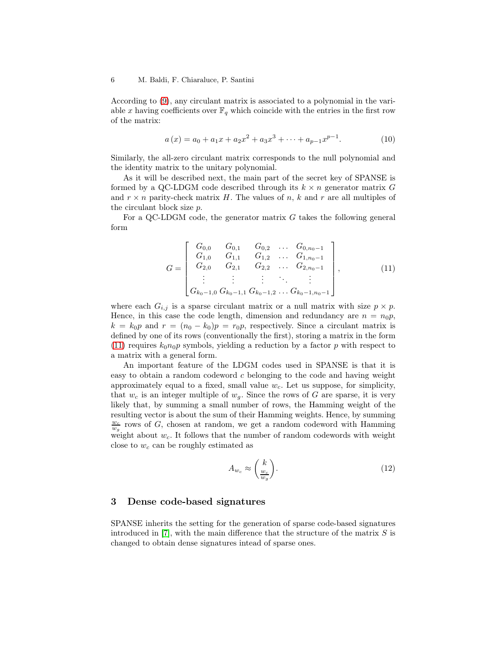According to [\(9\)](#page-4-0), any circulant matrix is associated to a polynomial in the variable x having coefficients over  $\mathbb{F}_q$  which coincide with the entries in the first row of the matrix:

$$
a(x) = a_0 + a_1x + a_2x^2 + a_3x^3 + \dots + a_{p-1}x^{p-1}.
$$
 (10)

Similarly, the all-zero circulant matrix corresponds to the null polynomial and the identity matrix to the unitary polynomial.

As it will be described next, the main part of the secret key of SPANSE is formed by a QC-LDGM code described through its  $k \times n$  generator matrix G and  $r \times n$  parity-check matrix H. The values of n, k and r are all multiples of the circulant block size p.

For a QC-LDGM code, the generator matrix  $G$  takes the following general form

<span id="page-5-0"></span>
$$
G = \begin{bmatrix} G_{0,0} & G_{0,1} & G_{0,2} & \dots & G_{0,n_0-1} \\ G_{1,0} & G_{1,1} & G_{1,2} & \dots & G_{1,n_0-1} \\ G_{2,0} & G_{2,1} & G_{2,2} & \dots & G_{2,n_0-1} \\ \vdots & \vdots & \vdots & \ddots & \vdots \\ G_{k_0-1,0} & G_{k_0-1,1} & G_{k_0-1,2} & \dots & G_{k_0-1,n_0-1} \end{bmatrix},
$$
(11)

where each  $G_{i,j}$  is a sparse circulant matrix or a null matrix with size  $p \times p$ . Hence, in this case the code length, dimension and redundancy are  $n = n_0 p$ ,  $k = k_0p$  and  $r = (n_0 - k_0)p = r_0p$ , respectively. Since a circulant matrix is defined by one of its rows (conventionally the first), storing a matrix in the form [\(11\)](#page-5-0) requires  $k_0n_0p$  symbols, yielding a reduction by a factor p with respect to a matrix with a general form.

An important feature of the LDGM codes used in SPANSE is that it is easy to obtain a random codeword  $c$  belonging to the code and having weight approximately equal to a fixed, small value  $w_c$ . Let us suppose, for simplicity, that  $w_c$  is an integer multiple of  $w_g$ . Since the rows of G are sparse, it is very likely that, by summing a small number of rows, the Hamming weight of the resulting vector is about the sum of their Hamming weights. Hence, by summing  $\frac{w_c}{w_g}$  rows of G, chosen at random, we get a random codeword with Hamming weight about  $w_c$ . It follows that the number of random codewords with weight close to  $w_c$  can be roughly estimated as

$$
A_{w_c} \approx \left(\frac{k}{w_q}\right). \tag{12}
$$

# 3 Dense code-based signatures

SPANSE inherits the setting for the generation of sparse code-based signatures introduced in [\[7\]](#page-16-2), with the main difference that the structure of the matrix  $S$  is changed to obtain dense signatures intead of sparse ones.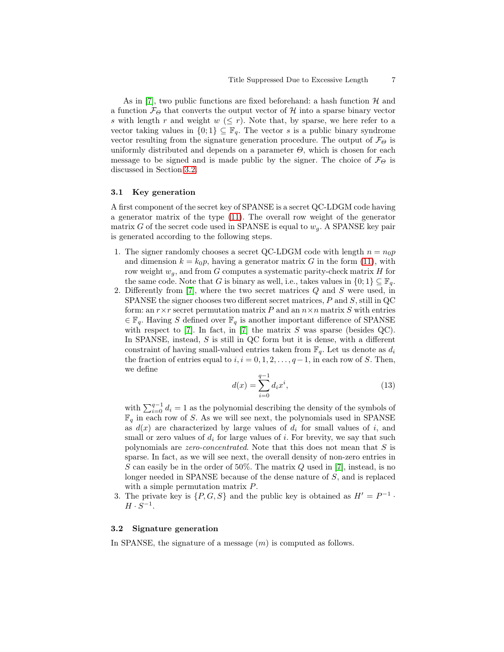As in [\[7\]](#page-16-2), two public functions are fixed beforehand: a hash function  $\mathcal{H}$  and a function  $\mathcal{F}_{\Theta}$  that converts the output vector of H into a sparse binary vector s with length r and weight  $w \leq r$ . Note that, by sparse, we here refer to a vector taking values in  $\{0,1\} \subseteq \mathbb{F}_q$ . The vector s is a public binary syndrome vector resulting from the signature generation procedure. The output of  $\mathcal{F}_{\Theta}$  is uniformly distributed and depends on a parameter  $\Theta$ , which is chosen for each message to be signed and is made public by the signer. The choice of  $\mathcal{F}_{\Theta}$  is discussed in Section [3.2.](#page-6-0)

### 3.1 Key generation

A first component of the secret key of SPANSE is a secret QC-LDGM code having a generator matrix of the type [\(11\)](#page-5-0). The overall row weight of the generator matrix G of the secret code used in SPANSE is equal to  $w_q$ . A SPANSE key pair is generated according to the following steps.

- 1. The signer randomly chooses a secret QC-LDGM code with length  $n = n_0p$ and dimension  $k = k_0 p$ , having a generator matrix G in the form [\(11\)](#page-5-0), with row weight  $w_g$ , and from G computes a systematic parity-check matrix H for the same code. Note that G is binary as well, i.e., takes values in  $\{0,1\} \subseteq \mathbb{F}_q$ .
- 2. Differently from [\[7\]](#page-16-2), where the two secret matrices Q and S were used, in SPANSE the signer chooses two different secret matrices,  $P$  and  $S$ , still in  $QC$ form: an  $r \times r$  secret permutation matrix P and an  $n \times n$  matrix S with entries  $\in \mathbb{F}_q$ . Having S defined over  $\mathbb{F}_q$  is another important difference of SPANSE with respect to  $[7]$ . In fact, in  $[7]$  the matrix S was sparse (besides QC). In SPANSE, instead, S is still in QC form but it is dense, with a different constraint of having small-valued entries taken from  $\mathbb{F}_q$ . Let us denote as  $d_i$ the fraction of entries equal to  $i, i = 0, 1, 2, \ldots, q-1$ , in each row of S. Then, we define

$$
d(x) = \sum_{i=0}^{q-1} d_i x^i,
$$
\n(13)

with  $\sum_{i=0}^{q-1} d_i = 1$  as the polynomial describing the density of the symbols of  $\mathbb{F}_q$  in each row of S. As we will see next, the polynomials used in SPANSE as  $d(x)$  are characterized by large values of  $d_i$  for small values of i, and small or zero values of  $d_i$  for large values of i. For brevity, we say that such polynomials are zero-concentrated. Note that this does not mean that S is sparse. In fact, as we will see next, the overall density of non-zero entries in S can easily be in the order of  $50\%$ . The matrix Q used in [\[7\]](#page-16-2), instead, is no longer needed in SPANSE because of the dense nature of S, and is replaced with a simple permutation matrix  $P$ .

3. The private key is  $\{P, G, S\}$  and the public key is obtained as  $H' = P^{-1}$ .  $H \cdot S^{-1}$ .

### <span id="page-6-0"></span>3.2 Signature generation

In SPANSE, the signature of a message  $(m)$  is computed as follows.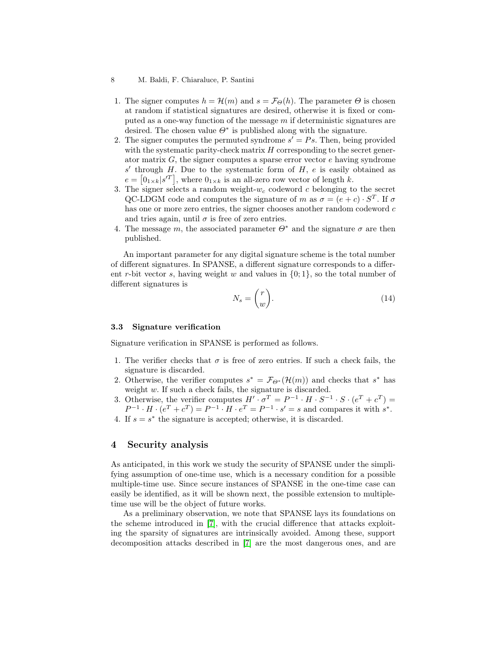- 1. The signer computes  $h = \mathcal{H}(m)$  and  $s = \mathcal{F}_{\Theta}(h)$ . The parameter  $\Theta$  is chosen at random if statistical signatures are desired, otherwise it is fixed or computed as a one-way function of the message  $m$  if deterministic signatures are desired. The chosen value  $\Theta^*$  is published along with the signature.
- 2. The signer computes the permuted syndrome  $s' = Ps$ . Then, being provided with the systematic parity-check matrix  $H$  corresponding to the secret generator matrix  $G$ , the signer computes a sparse error vector  $e$  having syndrome  $s'$  through H. Due to the systematic form of H, e is easily obtained as  $e = [0_{1 \times k} | s^{\prime T}]$ , where  $0_{1 \times k}$  is an all-zero row vector of length k.
- 3. The signer selects a random weight- $w_c$  codeword c belonging to the secret QC-LDGM code and computes the signature of m as  $\sigma = (e+c) \cdot S^T$ . If  $\sigma$ has one or more zero entries, the signer chooses another random codeword c and tries again, until  $\sigma$  is free of zero entries.
- 4. The message m, the associated parameter  $\Theta^*$  and the signature  $\sigma$  are then published.

An important parameter for any digital signature scheme is the total number of different signatures. In SPANSE, a different signature corresponds to a different r-bit vector s, having weight w and values in  $\{0, 1\}$ , so the total number of different signatures is

$$
N_s = \binom{r}{w}.\tag{14}
$$

### 3.3 Signature verification

Signature verification in SPANSE is performed as follows.

- 1. The verifier checks that  $\sigma$  is free of zero entries. If such a check fails, the signature is discarded.
- 2. Otherwise, the verifier computes  $s^* = \mathcal{F}_{\Theta^*}(\mathcal{H}(m))$  and checks that  $s^*$  has weight w. If such a check fails, the signature is discarded.
- 3. Otherwise, the verifier computes  $H' \cdot \sigma^T = P^{-1} \cdot H \cdot S^{-1} \cdot S \cdot (e^T + c^T) =$  $P^{-1} \cdot H \cdot (e^T + c^T) = P^{-1} \cdot H \cdot e^T = P^{-1} \cdot s' = s$  and compares it with  $s^*$ .
- 4. If  $s = s^*$  the signature is accepted; otherwise, it is discarded.

# 4 Security analysis

As anticipated, in this work we study the security of SPANSE under the simplifying assumption of one-time use, which is a necessary condition for a possible multiple-time use. Since secure instances of SPANSE in the one-time case can easily be identified, as it will be shown next, the possible extension to multipletime use will be the object of future works.

As a preliminary observation, we note that SPANSE lays its foundations on the scheme introduced in [\[7\]](#page-16-2), with the crucial difference that attacks exploiting the sparsity of signatures are intrinsically avoided. Among these, support decomposition attacks described in [\[7\]](#page-16-2) are the most dangerous ones, and are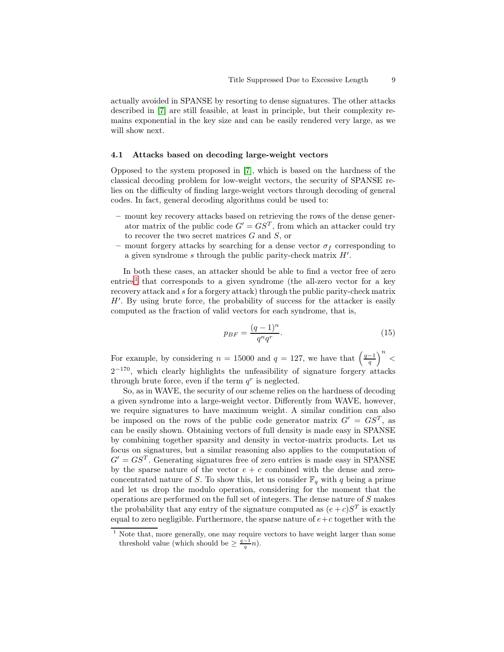actually avoided in SPANSE by resorting to dense signatures. The other attacks described in [\[7\]](#page-16-2) are still feasible, at least in principle, but their complexity remains exponential in the key size and can be easily rendered very large, as we will show next.

### 4.1 Attacks based on decoding large-weight vectors

Opposed to the system proposed in [\[7\]](#page-16-2), which is based on the hardness of the classical decoding problem for low-weight vectors, the security of SPANSE relies on the difficulty of finding large-weight vectors through decoding of general codes. In fact, general decoding algorithms could be used to:

- mount key recovery attacks based on retrieving the rows of the dense generator matrix of the public code  $G' = GS^T$ , from which an attacker could try to recover the two secret matrices G and S, or
- mount forgery attacks by searching for a dense vector  $\sigma_f$  corresponding to a given syndrome  $s$  through the public parity-check matrix  $H'$ .

In both these cases, an attacker should be able to find a vector free of zero entries<sup>[1](#page-8-0)</sup> that corresponds to a given syndrome (the all-zero vector for a key recovery attack and s for a forgery attack) through the public parity-check matrix H′ . By using brute force, the probability of success for the attacker is easily computed as the fraction of valid vectors for each syndrome, that is,

$$
p_{BF} = \frac{(q-1)^n}{q^n q^r}.\tag{15}
$$

For example, by considering  $n = 15000$  and  $q = 127$ , we have that  $\left(\frac{q-1}{q}\right)$  $\big)^n$  <  $2^{-170}$ , which clearly highlights the unfeasibility of signature forgery attacks through brute force, even if the term  $q^r$  is neglected.

So, as in WAVE, the security of our scheme relies on the hardness of decoding a given syndrome into a large-weight vector. Differently from WAVE, however, we require signatures to have maximum weight. A similar condition can also be imposed on the rows of the public code generator matrix  $G' = GS^T$ , as can be easily shown. Obtaining vectors of full density is made easy in SPANSE by combining together sparsity and density in vector-matrix products. Let us focus on signatures, but a similar reasoning also applies to the computation of  $G' = G S^{T}$ . Generating signatures free of zero entries is made easy in SPANSE by the sparse nature of the vector  $e + c$  combined with the dense and zeroconcentrated nature of S. To show this, let us consider  $\mathbb{F}_q$  with q being a prime and let us drop the modulo operation, considering for the moment that the operations are performed on the full set of integers. The dense nature of S makes the probability that any entry of the signature computed as  $(e+c)S<sup>T</sup>$  is exactly equal to zero negligible. Furthermore, the sparse nature of  $e+c$  together with the

<span id="page-8-0"></span><sup>&</sup>lt;sup>1</sup> Note that, more generally, one may require vectors to have weight larger than some threshold value (which should be  $\geq \frac{q-1}{q}n$ ).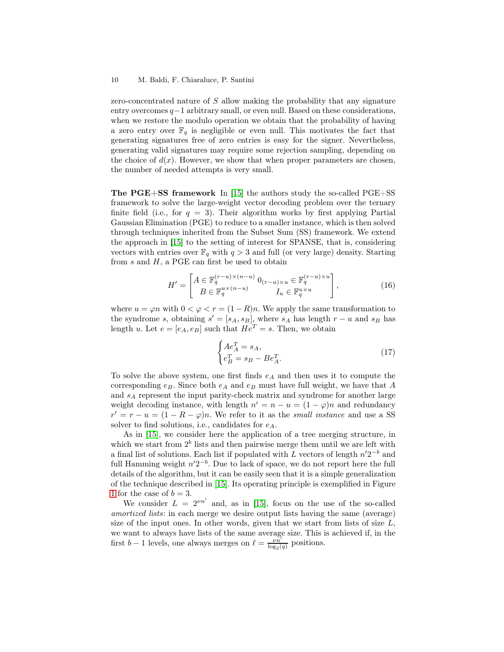zero-concentrated nature of S allow making the probability that any signature entry overcomes  $q-1$  arbitrary small, or even null. Based on these considerations, when we restore the modulo operation we obtain that the probability of having a zero entry over  $\mathbb{F}_q$  is negligible or even null. This motivates the fact that generating signatures free of zero entries is easy for the signer. Nevertheless, generating valid signatures may require some rejection sampling, depending on the choice of  $d(x)$ . However, we show that when proper parameters are chosen, the number of needed attempts is very small.

**The PGE+SS framework** In [\[15\]](#page-17-9) the authors study the so-called  $PGE+SS$ framework to solve the large-weight vector decoding problem over the ternary finite field (i.e., for  $q = 3$ ). Their algorithm works by first applying Partial Gaussian Elimination (PGE) to reduce to a smaller instance, which is then solved through techniques inherited from the Subset Sum (SS) framework. We extend the approach in [\[15\]](#page-17-9) to the setting of interest for SPANSE, that is, considering vectors with entries over  $\mathbb{F}_q$  with  $q > 3$  and full (or very large) density. Starting from  $s$  and  $H$ , a PGE can first be used to obtain

$$
H' = \begin{bmatrix} A \in \mathbb{F}_q^{(r-u)\times(n-u)} & 0_{(r-u)\times u} \in \mathbb{F}_q^{(r-u)\times u} \\ B \in \mathbb{F}_q^{u\times(n-u)} & I_u \in \mathbb{F}_q^{u\times u} \end{bmatrix},
$$
(16)

where  $u = \varphi n$  with  $0 < \varphi < r = (1 - R)n$ . We apply the same transformation to the syndrome s, obtaining  $s' = [s_A, s_B]$ , where  $s_A$  has length  $r - u$  and  $s_B$  has length u. Let  $e = [e_A, e_B]$  such that  $He^T = s$ . Then, we obtain

$$
\begin{cases}\nA e_A^T = s_A, \\
e_B^T = s_B - B e_A^T.\n\end{cases}
$$
\n(17)

To solve the above system, one first finds  $e_A$  and then uses it to compute the corresponding  $e_B$ . Since both  $e_A$  and  $e_B$  must have full weight, we have that A and  $s_A$  represent the input parity-check matrix and syndrome for another large weight decoding instance, with length  $n' = n - u = (1 - \varphi)n$  and redundancy  $r' = r - u = (1 - R - \varphi)n$ . We refer to it as the *small instance* and use a SS solver to find solutions, i.e., candidates for  $e_A$ .

As in [\[15\]](#page-17-9), we consider here the application of a tree merging structure, in which we start from  $2^b$  lists and then pairwise merge them until we are left with a final list of solutions. Each list if populated with L vectors of length  $n'2^{-b}$  and full Hamming weight  $n'2^{-b}$ . Due to lack of space, we do not report here the full details of the algorithm, but it can be easily seen that it is a simple generalization of the technique described in [\[15\]](#page-17-9). Its operating principle is exemplified in Figure [1](#page-10-0) for the case of  $b = 3$ .

We consider  $L = 2^{\nu n'}$  and, as in [\[15\]](#page-17-9), focus on the use of the so-called amortized lists: in each merge we desire output lists having the same (average) size of the input ones. In other words, given that we start from lists of size  $L$ , we want to always have lists of the same average size. This is achieved if, in the first b – 1 levels, one always merges on  $\ell = \frac{\nu n'}{\log_2(q)}$  positions.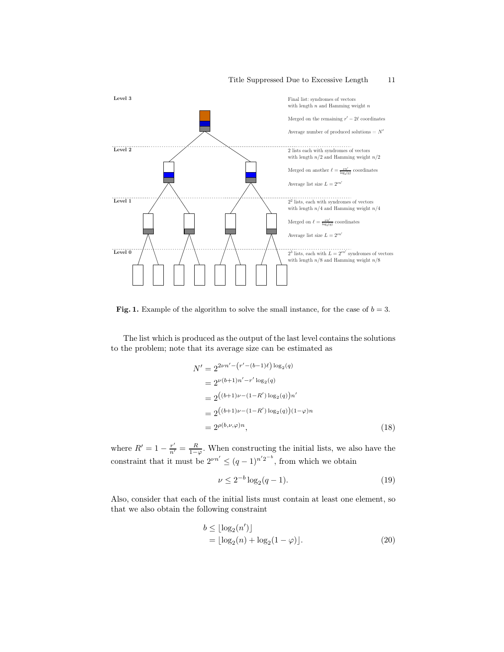

<span id="page-10-0"></span>Fig. 1. Example of the algorithm to solve the small instance, for the case of  $b = 3$ .

The list which is produced as the output of the last level contains the solutions to the problem; note that its average size can be estimated as

$$
N' = 2^{2\nu n' - (r' - (b-1)\ell) \log_2(q)}
$$
  
=  $2^{\nu(b+1)n' - r' \log_2(q)}$   
=  $2^{((b+1)\nu - (1-R') \log_2(q))n'}$   
=  $2^{((b+1)\nu - (1-R') \log_2(q))(1-\varphi)n}$   
=  $2^{\rho(b,\nu,\varphi)n}$ , (18)

where  $R' = 1 - \frac{r'}{n'} = \frac{R}{1-\varphi}$ . When constructing the initial lists, we also have the constraint that it must be  $2^{\nu n'} \leq (q-1)^{n'2^{-b}}$ , from which we obtain

$$
\nu \le 2^{-b} \log_2(q-1). \tag{19}
$$

Also, consider that each of the initial lists must contain at least one element, so that we also obtain the following constraint

$$
b \le \lfloor \log_2(n') \rfloor
$$
  
=  $\lfloor \log_2(n) + \log_2(1 - \varphi) \rfloor$ . (20)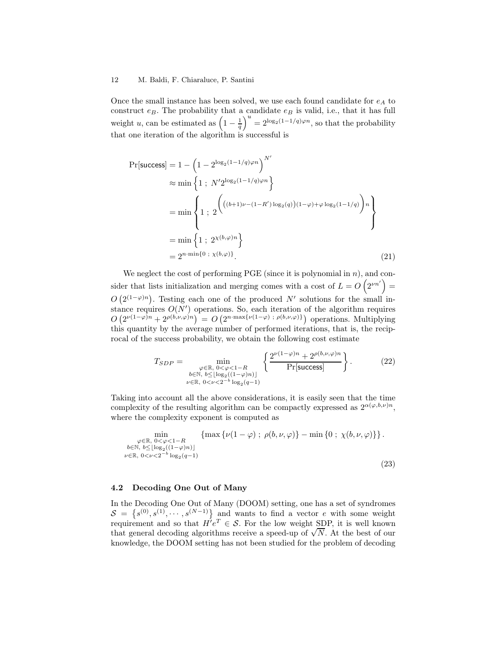Once the small instance has been solved, we use each found candidate for  $e_A$  to construct  $e_B$ . The probability that a candidate  $e_B$  is valid, i.e., that it has full weight u, can be estimated as  $\left(1 - \frac{1}{q}\right)$  $\int u = 2^{\log_2(1-1/q)\varphi n}$ , so that the probability that one iteration of the algorithm is successful is

$$
\Pr[\text{success}] = 1 - \left(1 - 2^{\log_2(1 - 1/q)\varphi n}\right)^{N'}
$$
  
\n
$$
\approx \min\left\{1 ; N'2^{\log_2(1 - 1/q)\varphi n}\right\}
$$
  
\n
$$
= \min\left\{1 ; 2^{\left(((b+1)\nu - (1-R')\log_2(q))(1-\varphi) + \varphi \log_2(1-1/q)\right)n}\right\}
$$
  
\n
$$
= \min\left\{1 ; 2^{\chi(b,\varphi)n}\right\}
$$
  
\n
$$
= 2^{n \cdot \min\{0 ; \chi(b,\varphi)\}}.
$$
\n(21)

We neglect the cost of performing PGE (since it is polynomial in  $n$ ), and consider that lists initialization and merging comes with a cost of  $L = O\left(2^{\nu n'}\right)$  $O(2^{(1-\varphi)n})$ . Testing each one of the produced N' solutions for the small instance requires  $O(N')$  operations. So, each iteration of the algorithm requires  $O(2^{\nu(1-\varphi)n}+2^{\rho(b,\nu,\varphi)n})=O(2^{n\cdot\max\{\nu(1-\varphi)\;\colon\rho(b,\nu,\varphi)\}})$  operations. Multiplying this quantity by the average number of performed iterations, that is, the reciprocal of the success probability, we obtain the following cost estimate

$$
T_{SDP} = \min_{\substack{\varphi \in \mathbb{R}, \ 0 < \varphi < 1 - R \\ b \in \mathbb{N}, \ b \le |\log_2((1 - \varphi)n)| \\ \nu \in \mathbb{R}, \ 0 < \nu < 2^{-b} \log_2(q - 1)}} \left\{ \frac{2^{\nu(1 - \varphi)n} + 2^{\rho(b, \nu, \varphi)n}}{\Pr[\text{success}]} \right\}.
$$
 (22)

Taking into account all the above considerations, it is easily seen that the time complexity of the resulting algorithm can be compactly expressed as  $2^{\alpha(\varphi,b,\nu)n}$ , where the complexity exponent is computed as

$$
\min_{\substack{\varphi \in \mathbb{R}, \ 0 < \varphi < 1 - R \\ b \in \mathbb{N}, \ b \le |\log_2((1 - \varphi)n)| \\ \nu \in \mathbb{R}, \ 0 < \nu < 2^{-b} \log_2(q - 1)}} \{ \max \{ \nu(1 - \varphi) \ ; \ \rho(b, \nu, \varphi) \} - \min \{ 0 \ ; \ \chi(b, \nu, \varphi) \} \} .
$$
\n
$$
(23)
$$

# 4.2 Decoding One Out of Many

In the Decoding One Out of Many (DOOM) setting, one has a set of syndromes  $S = \{s^{(0)}, s^{(1)}, \cdots, s^{(N-1)}\}$  and wants to find a vector e with some weight requirement and so that  $H'e^T \in \mathcal{S}$ . For the low weight SDP, it is well known that general decoding algorithms receive a speed-up of  $\sqrt{N}$ . At the best of our knowledge, the DOOM setting has not been studied for the problem of decoding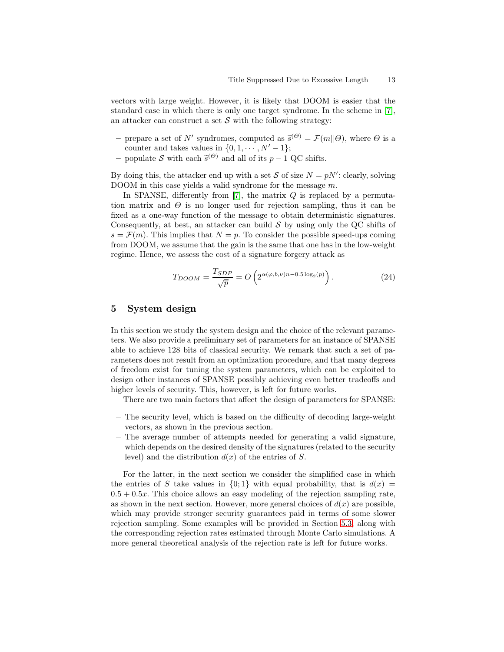vectors with large weight. However, it is likely that DOOM is easier that the standard case in which there is only one target syndrome. In the scheme in [\[7\]](#page-16-2), an attacker can construct a set  $S$  with the following strategy:

- prepare a set of N' syndromes, computed as  $\tilde{s}^{(\Theta)} = \mathcal{F}(m||\Theta)$ , where  $\Theta$  is a counter and takes values in  $\{0, 1, \cdots, N' - 1\};$
- populate S with each  $\tilde{s}^{(\Theta)}$  and all of its  $p-1$  QC shifts.

By doing this, the attacker end up with a set S of size  $N = pN'$ : clearly, solving DOOM in this case yields a valid syndrome for the message m.

In SPANSE, differently from [\[7\]](#page-16-2), the matrix  $Q$  is replaced by a permutation matrix and  $\Theta$  is no longer used for rejection sampling, thus it can be fixed as a one-way function of the message to obtain deterministic signatures. Consequently, at best, an attacker can build  $S$  by using only the QC shifts of  $s = \mathcal{F}(m)$ . This implies that  $N = p$ . To consider the possible speed-ups coming from DOOM, we assume that the gain is the same that one has in the low-weight regime. Hence, we assess the cost of a signature forgery attack as

$$
T_{DOOM} = \frac{T_{SDP}}{\sqrt{p}} = O\left(2^{\alpha(\varphi, b, \nu)n - 0.5\log_2(p)}\right). \tag{24}
$$

# 5 System design

In this section we study the system design and the choice of the relevant parameters. We also provide a preliminary set of parameters for an instance of SPANSE able to achieve 128 bits of classical security. We remark that such a set of parameters does not result from an optimization procedure, and that many degrees of freedom exist for tuning the system parameters, which can be exploited to design other instances of SPANSE possibly achieving even better tradeoffs and higher levels of security. This, however, is left for future works.

There are two main factors that affect the design of parameters for SPANSE:

- The security level, which is based on the difficulty of decoding large-weight vectors, as shown in the previous section.
- The average number of attempts needed for generating a valid signature, which depends on the desired density of the signatures (related to the security level) and the distribution  $d(x)$  of the entries of S.

For the latter, in the next section we consider the simplified case in which the entries of S take values in  $\{0, 1\}$  with equal probability, that is  $d(x)$  $0.5 + 0.5x$ . This choice allows an easy modeling of the rejection sampling rate, as shown in the next section. However, more general choices of  $d(x)$  are possible, which may provide stronger security guarantees paid in terms of some slower rejection sampling. Some examples will be provided in Section [5.3,](#page-14-0) along with the corresponding rejection rates estimated through Monte Carlo simulations. A more general theoretical analysis of the rejection rate is left for future works.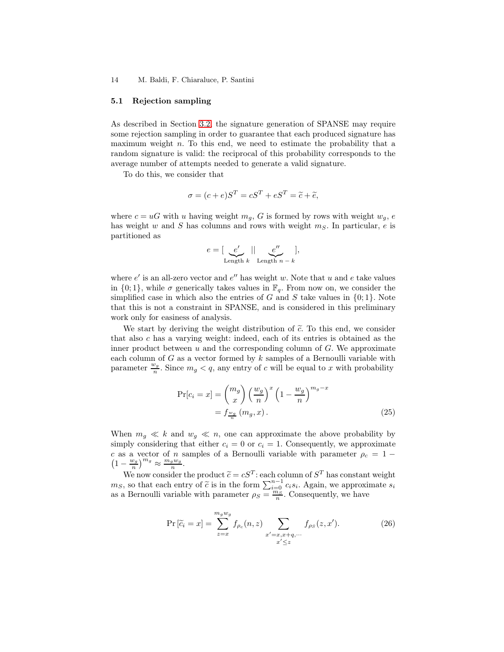#### <span id="page-13-0"></span>5.1 Rejection sampling

As described in Section [3.2,](#page-6-0) the signature generation of SPANSE may require some rejection sampling in order to guarantee that each produced signature has maximum weight  $n$ . To this end, we need to estimate the probability that a random signature is valid: the reciprocal of this probability corresponds to the average number of attempts needed to generate a valid signature.

To do this, we consider that

$$
\sigma = (c + e)S^T = cS^T + eS^T = \tilde{c} + \tilde{e},
$$

where  $c = uG$  with u having weight  $m_q$ , G is formed by rows with weight  $w_q$ , e has weight w and S has columns and rows with weight  $m<sub>S</sub>$ . In particular, e is partitioned as

$$
e = \left[ \underbrace{e'}_{\text{Length } k} \mid \mid \underbrace{e''}_{\text{Length } n-k} \right],
$$

where  $e'$  is an all-zero vector and  $e''$  has weight w. Note that u and e take values in  $\{0, 1\}$ , while  $\sigma$  generically takes values in  $\mathbb{F}_q$ . From now on, we consider the simplified case in which also the entries of G and S take values in  $\{0, 1\}$ . Note that this is not a constraint in SPANSE, and is considered in this preliminary work only for easiness of analysis.

We start by deriving the weight distribution of  $\tilde{c}$ . To this end, we consider that also c has a varying weight: indeed, each of its entries is obtained as the inner product between  $u$  and the corresponding column of  $G$ . We approximate each column of  $G$  as a vector formed by  $k$  samples of a Bernoulli variable with parameter  $\frac{w_g}{n}$ . Since  $m_g < q$ , any entry of c will be equal to x with probability

$$
\Pr[c_i = x] = \binom{m_g}{x} \left(\frac{w_g}{n}\right)^x \left(1 - \frac{w_g}{n}\right)^{m_g - x}
$$

$$
= f \frac{w_g}{n} \left(m_g, x\right). \tag{25}
$$

When  $m_g \ll k$  and  $w_g \ll n$ , one can approximate the above probability by simply considering that either  $c_i = 0$  or  $c_i = 1$ . Consequently, we approximate c as a vector of n samples of a Bernoulli variable with parameter  $\rho_c = 1 1-\frac{w_g}{n}$  $\left(\frac{w_g}{n}\right)^{m_g} \approx \frac{m_g w_g}{n}$  $\frac{g\,w_g}{n}$  .

We now consider the product  $\widetilde{c} = cS^T$ : each column of  $S^T$  has constant weight  $m_S$ , so that each entry of  $\tilde{c}$  is in the form  $\sum_{\substack{i=0 \ n_S}}^{n-1} c_i s_i$ . Again, we approximate  $s_i$ as a Bernoulli variable with parameter  $\rho_S = \frac{m_S}{n}$ . Consequently, we have

$$
\Pr\left[\tilde{c}_i = x\right] = \sum_{z=x}^{m_g w_g} f_{\rho_c}(n, z) \sum_{\substack{x'=x, x+q, \dots \\ x' \le z}} f_{\rho_S}(z, x'). \tag{26}
$$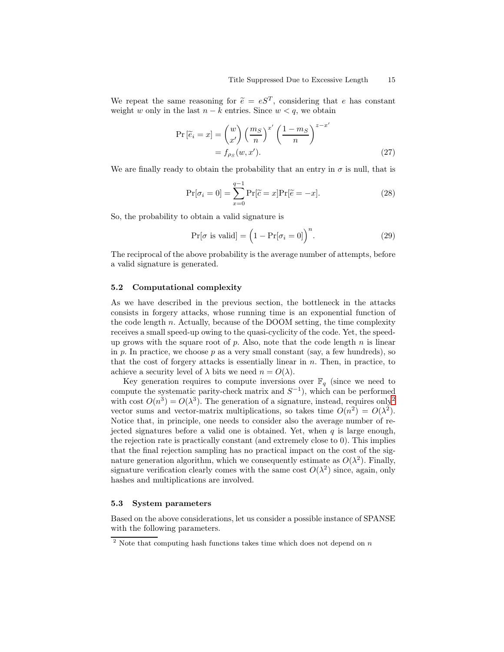We repeat the same reasoning for  $\tilde{e} = eS^{T}$ , considering that e has constant weight w only in the last  $n - k$  entries. Since  $w < q$ , we obtain

$$
\Pr\left[\widetilde{e}_i = x\right] = \binom{w}{x'} \left(\frac{m_S}{n}\right)^{x'} \left(\frac{1 - m_S}{n}\right)^{z - x'}
$$
\n
$$
= f_{\rho_S}(w, x'). \tag{27}
$$

We are finally ready to obtain the probability that an entry in  $\sigma$  is null, that is

$$
\Pr[\sigma_i = 0] = \sum_{x=0}^{q-1} \Pr[\widetilde{c} = x] \Pr[\widetilde{e} = -x]. \tag{28}
$$

So, the probability to obtain a valid signature is

$$
\Pr[\sigma \text{ is valid}] = (1 - \Pr[\sigma_i = 0])^{n}.
$$
 (29)

The reciprocal of the above probability is the average number of attempts, before a valid signature is generated.

# 5.2 Computational complexity

As we have described in the previous section, the bottleneck in the attacks consists in forgery attacks, whose running time is an exponential function of the code length n. Actually, because of the DOOM setting, the time complexity receives a small speed-up owing to the quasi-cyclicity of the code. Yet, the speedup grows with the square root of p. Also, note that the code length  $n$  is linear in p. In practice, we choose p as a very small constant (say, a few hundreds), so that the cost of forgery attacks is essentially linear in  $n$ . Then, in practice, to achieve a security level of  $\lambda$  bits we need  $n = O(\lambda)$ .

Key generation requires to compute inversions over  $\mathbb{F}_q$  (since we need to compute the systematic parity-check matrix and  $S^{-1}$ ), which can be performed with cost  $O(n^3) = O(\lambda^3)$ . The generation of a signature, instead, requires only<sup>[2](#page-14-1)</sup> vector sums and vector-matrix multiplications, so takes time  $O(n^2) = O(\lambda^2)$ . Notice that, in principle, one needs to consider also the average number of rejected signatures before a valid one is obtained. Yet, when  $q$  is large enough, the rejection rate is practically constant (and extremely close to 0). This implies that the final rejection sampling has no practical impact on the cost of the signature generation algorithm, which we consequently estimate as  $O(\lambda^2)$ . Finally, signature verification clearly comes with the same cost  $O(\lambda^2)$  since, again, only hashes and multiplications are involved.

### <span id="page-14-0"></span>5.3 System parameters

Based on the above considerations, let us consider a possible instance of SPANSE with the following parameters.

<span id="page-14-1"></span><sup>&</sup>lt;sup>2</sup> Note that computing hash functions takes time which does not depend on  $n$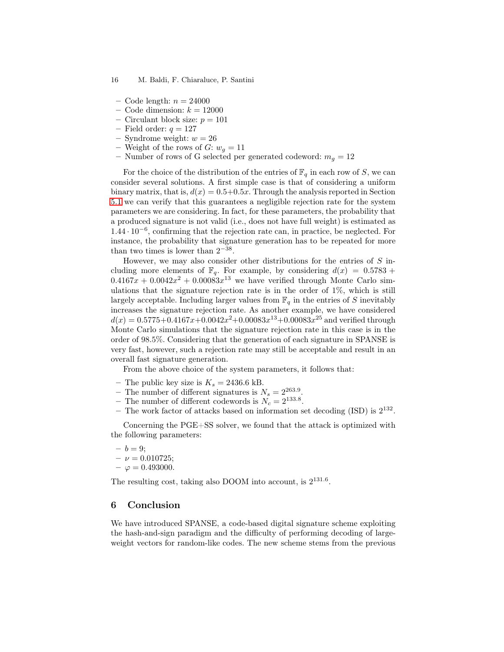- Code length:  $n = 24000$
- Code dimension:  $k = 12000$
- Circulant block size:  $p = 101$
- Field order:  $q = 127$
- Syndrome weight:  $w = 26$
- Weight of the rows of  $G: w_q = 11$
- Number of rows of G selected per generated codeword:  $m<sub>g</sub> = 12$

For the choice of the distribution of the entries of  $\mathbb{F}_q$  in each row of S, we can consider several solutions. A first simple case is that of considering a uniform binary matrix, that is,  $d(x) = 0.5+0.5x$ . Through the analysis reported in Section [5.1](#page-13-0) we can verify that this guarantees a negligible rejection rate for the system parameters we are considering. In fact, for these parameters, the probability that a produced signature is not valid (i.e., does not have full weight) is estimated as <sup>1</sup>.<sup>44</sup> · <sup>10</sup>−<sup>6</sup> , confirming that the rejection rate can, in practice, be neglected. For instance, the probability that signature generation has to be repeated for more than two times is lower than  $2^{-38}$ .

However, we may also consider other distributions for the entries of  $S$  including more elements of  $\mathbb{F}_q$ . For example, by considering  $d(x) = 0.5783 +$  $0.4167x + 0.0042x^2 + 0.00083x^{13}$  we have verified through Monte Carlo simulations that the signature rejection rate is in the order of 1%, which is still largely acceptable. Including larger values from  $\mathbb{F}_q$  in the entries of S inevitably increases the signature rejection rate. As another example, we have considered  $d(x) = 0.5775 + 0.4167x + 0.0042x^2 + 0.00083x^{13} + 0.00083x^{25}$  and verified through Monte Carlo simulations that the signature rejection rate in this case is in the order of 98.5%. Considering that the generation of each signature in SPANSE is very fast, however, such a rejection rate may still be acceptable and result in an overall fast signature generation.

From the above choice of the system parameters, it follows that:

- The public key size is  $K_s = 2436.6$  kB.
- The number of different signatures is  $N_s = 2^{263.9}$ .
- The number of different codewords is  $N_c = 2^{133.8}$ .
- The work factor of attacks based on information set decoding  $(ISD)$  is  $2^{132}$ .

Concerning the PGE+SS solver, we found that the attack is optimized with the following parameters:

$$
- b = 9;
$$

- $-\nu = 0.010725;$
- $\varphi = 0.493000$ .

The resulting cost, taking also DOOM into account, is  $2^{131.6}$ .

### 6 Conclusion

We have introduced SPANSE, a code-based digital signature scheme exploiting the hash-and-sign paradigm and the difficulty of performing decoding of largeweight vectors for random-like codes. The new scheme stems from the previous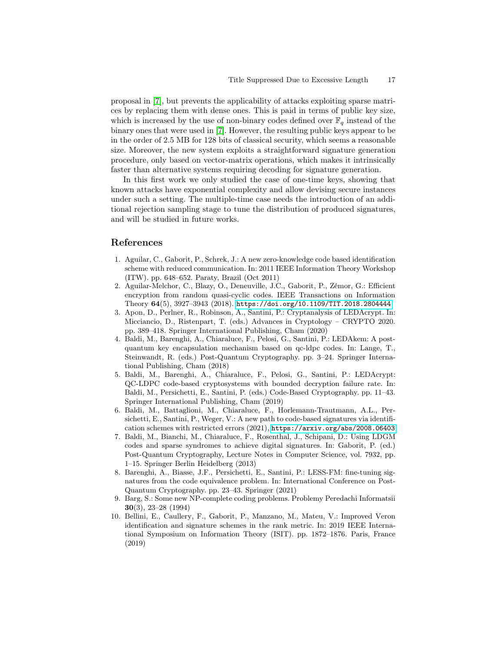proposal in [\[7\]](#page-16-2), but prevents the applicability of attacks exploiting sparse matrices by replacing them with dense ones. This is paid in terms of public key size, which is increased by the use of non-binary codes defined over  $\mathbb{F}_q$  instead of the binary ones that were used in [\[7\]](#page-16-2). However, the resulting public keys appear to be in the order of 2.5 MB for 128 bits of classical security, which seems a reasonable size. Moreover, the new system exploits a straightforward signature generation procedure, only based on vector-matrix operations, which makes it intrinsically faster than alternative systems requiring decoding for signature generation.

In this first work we only studied the case of one-time keys, showing that known attacks have exponential complexity and allow devising secure instances under such a setting. The multiple-time case needs the introduction of an additional rejection sampling stage to tune the distribution of produced signatures, and will be studied in future works.

# <span id="page-16-3"></span>References

- 1. Aguilar, C., Gaborit, P., Schrek, J.: A new zero-knowledge code based identification scheme with reduced communication. In: 2011 IEEE Information Theory Workshop (ITW). pp. 648–652. Paraty, Brazil (Oct 2011)
- <span id="page-16-1"></span>2. Aguilar-Melchor, C., Blazy, O., Deneuville, J.C., Gaborit, P., Zémor, G.: Efficient encryption from random quasi-cyclic codes. IEEE Transactions on Information Theory 64(5), 3927–3943 (2018). <https://doi.org/10.1109/TIT.2018.2804444>
- <span id="page-16-9"></span>3. Apon, D., Perlner, R., Robinson, A., Santini, P.: Cryptanalysis of LEDAcrypt. In: Micciancio, D., Ristenpart, T. (eds.) Advances in Cryptology – CRYPTO 2020. pp. 389–418. Springer International Publishing, Cham (2020)
- <span id="page-16-7"></span>4. Baldi, M., Barenghi, A., Chiaraluce, F., Pelosi, G., Santini, P.: LEDAkem: A postquantum key encapsulation mechanism based on qc-ldpc codes. In: Lange, T., Steinwandt, R. (eds.) Post-Quantum Cryptography. pp. 3–24. Springer International Publishing, Cham (2018)
- <span id="page-16-8"></span>5. Baldi, M., Barenghi, A., Chiaraluce, F., Pelosi, G., Santini, P.: LEDAcrypt: QC-LDPC code-based cryptosystems with bounded decryption failure rate. In: Baldi, M., Persichetti, E., Santini, P. (eds.) Code-Based Cryptography. pp. 11–43. Springer International Publishing, Cham (2019)
- <span id="page-16-6"></span>6. Baldi, M., Battaglioni, M., Chiaraluce, F., Horlemann-Trautmann, A.L., Persichetti, E., Santini, P., Weger, V.: A new path to code-based signatures via identification schemes with restricted errors (2021), <https://arxiv.org/abs/2008.06403>
- <span id="page-16-2"></span>7. Baldi, M., Bianchi, M., Chiaraluce, F., Rosenthal, J., Schipani, D.: Using LDGM codes and sparse syndromes to achieve digital signatures. In: Gaborit, P. (ed.) Post-Quantum Cryptography, Lecture Notes in Computer Science, vol. 7932, pp. 1–15. Springer Berlin Heidelberg (2013)
- <span id="page-16-5"></span>8. Barenghi, A., Biasse, J.F., Persichetti, E., Santini, P.: LESS-FM: fine-tuning signatures from the code equivalence problem. In: International Conference on Post-Quantum Cryptography. pp. 23–43. Springer (2021)
- <span id="page-16-0"></span>9. Barg, S.: Some new NP-complete coding problems. Problemy Peredachi Informatsii 30(3), 23–28 (1994)
- <span id="page-16-4"></span>10. Bellini, E., Caullery, F., Gaborit, P., Manzano, M., Mateu, V.: Improved Veron identification and signature schemes in the rank metric. In: 2019 IEEE International Symposium on Information Theory (ISIT). pp. 1872–1876. Paris, France (2019)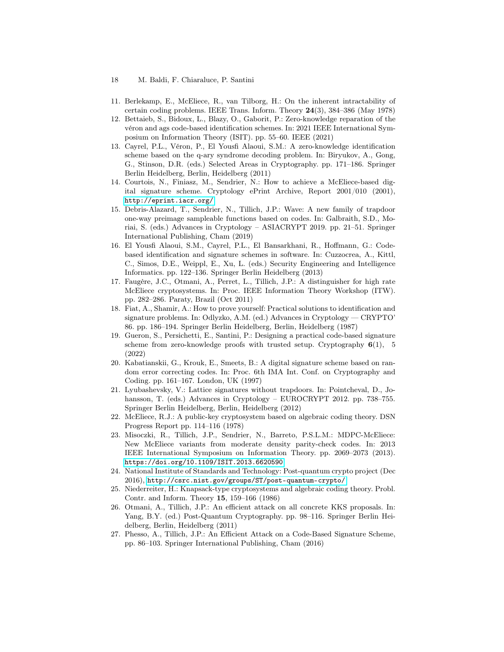- 18 M. Baldi, F. Chiaraluce, P. Santini
- <span id="page-17-15"></span><span id="page-17-0"></span>11. Berlekamp, E., McEliece, R., van Tilborg, H.: On the inherent intractability of certain coding problems. IEEE Trans. Inform. Theory 24(3), 384–386 (May 1978)
- 12. Bettaieb, S., Bidoux, L., Blazy, O., Gaborit, P.: Zero-knowledge reparation of the véron and ags code-based identification schemes. In: 2021 IEEE International Symposium on Information Theory (ISIT). pp. 55–60. IEEE (2021)
- <span id="page-17-12"></span>13. Cayrel, P.L., Véron, P., El Yousfi Alaoui, S.M.: A zero-knowledge identification scheme based on the q-ary syndrome decoding problem. In: Biryukov, A., Gong, G., Stinson, D.R. (eds.) Selected Areas in Cryptography. pp. 171–186. Springer Berlin Heidelberg, Berlin, Heidelberg (2011)
- <span id="page-17-5"></span>14. Courtois, N., Finiasz, M., Sendrier, N.: How to achieve a McEliece-based digital signature scheme. Cryptology ePrint Archive, Report 2001/010 (2001), <http://eprint.iacr.org/>
- <span id="page-17-9"></span>15. Debris-Alazard, T., Sendrier, N., Tillich, J.P.: Wave: A new family of trapdoor one-way preimage sampleable functions based on codes. In: Galbraith, S.D., Moriai, S. (eds.) Advances in Cryptology – ASIACRYPT 2019. pp. 21–51. Springer International Publishing, Cham (2019)
- <span id="page-17-13"></span>16. El Yousfi Alaoui, S.M., Cayrel, P.L., El Bansarkhani, R., Hoffmann, G.: Codebased identification and signature schemes in software. In: Cuzzocrea, A., Kittl, C., Simos, D.E., Weippl, E., Xu, L. (eds.) Security Engineering and Intelligence Informatics. pp. 122–136. Springer Berlin Heidelberg (2013)
- <span id="page-17-8"></span>17. Faugère, J.C., Otmani, A., Perret, L., Tillich, J.P.: A distinguisher for high rate McEliece cryptosystems. In: Proc. IEEE Information Theory Workshop (ITW). pp. 282–286. Paraty, Brazil (Oct 2011)
- <span id="page-17-11"></span>18. Fiat, A., Shamir, A.: How to prove yourself: Practical solutions to identification and signature problems. In: Odlyzko, A.M. (ed.) Advances in Cryptology — CRYPTO' 86. pp. 186–194. Springer Berlin Heidelberg, Berlin, Heidelberg (1987)
- <span id="page-17-14"></span>19. Gueron, S., Persichetti, E., Santini, P.: Designing a practical code-based signature scheme from zero-knowledge proofs with trusted setup. Cryptography  $6(1)$ , 5 (2022)
- <span id="page-17-6"></span>20. Kabatianskii, G., Krouk, E., Smeets, B.: A digital signature scheme based on random error correcting codes. In: Proc. 6th IMA Int. Conf. on Cryptography and Coding. pp. 161–167. London, UK (1997)
- <span id="page-17-16"></span>21. Lyubashevsky, V.: Lattice signatures without trapdoors. In: Pointcheval, D., Johansson, T. (eds.) Advances in Cryptology – EUROCRYPT 2012. pp. 738–755. Springer Berlin Heidelberg, Berlin, Heidelberg (2012)
- <span id="page-17-1"></span>22. McEliece, R.J.: A public-key cryptosystem based on algebraic coding theory. DSN Progress Report pp. 114–116 (1978)
- <span id="page-17-3"></span>23. Misoczki, R., Tillich, J.P., Sendrier, N., Barreto, P.S.L.M.: MDPC-McEliece: New McEliece variants from moderate density parity-check codes. In: 2013 IEEE International Symposium on Information Theory. pp. 2069–2073 (2013). <https://doi.org/10.1109/ISIT.2013.6620590>
- <span id="page-17-4"></span>24. National Institute of Standards and Technology: Post-quantum crypto project (Dec 2016), <http://csrc.nist.gov/groups/ST/post-quantum-crypto/>
- <span id="page-17-2"></span>25. Niederreiter, H.: Knapsack-type cryptosystems and algebraic coding theory. Probl. Contr. and Inform. Theory 15, 159–166 (1986)
- <span id="page-17-7"></span>26. Otmani, A., Tillich, J.P.: An efficient attack on all concrete KKS proposals. In: Yang, B.Y. (ed.) Post-Quantum Cryptography. pp. 98–116. Springer Berlin Heidelberg, Berlin, Heidelberg (2011)
- <span id="page-17-10"></span>27. Phesso, A., Tillich, J.P.: An Efficient Attack on a Code-Based Signature Scheme, pp. 86–103. Springer International Publishing, Cham (2016)